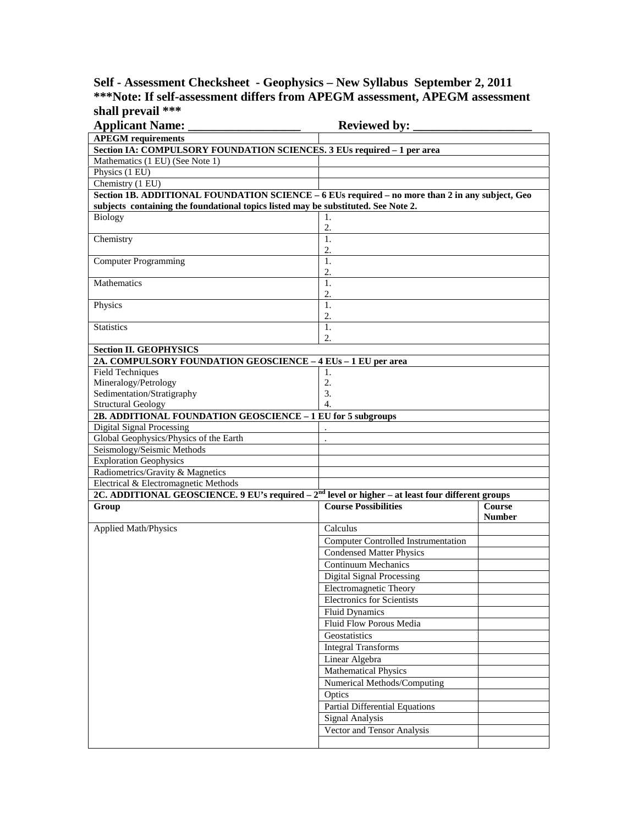## **Self - Assessment Checksheet - Geophysics – New Syllabus September 2, 2011 \*\*\*Note: If self-assessment differs from APEGM assessment, APEGM assessment shall prevail \*\*\***

| <b>Applicant Name:</b>                                                                               | <b>Reviewed by:</b>                        |               |
|------------------------------------------------------------------------------------------------------|--------------------------------------------|---------------|
| <b>APEGM</b> requirements                                                                            |                                            |               |
| Section IA: COMPULSORY FOUNDATION SCIENCES. 3 EUs required - 1 per area                              |                                            |               |
| Mathematics (1 EU) (See Note 1)                                                                      |                                            |               |
| Physics (1 EU)                                                                                       |                                            |               |
| Chemistry (1 EU)                                                                                     |                                            |               |
| Section 1B. ADDITIONAL FOUNDATION SCIENCE - 6 EUs required - no more than 2 in any subject, Geo      |                                            |               |
| subjects containing the foundational topics listed may be substituted. See Note 2.                   |                                            |               |
| <b>Biology</b>                                                                                       | 1.                                         |               |
|                                                                                                      | 2.                                         |               |
| Chemistry                                                                                            | 1.                                         |               |
|                                                                                                      | 2.                                         |               |
| <b>Computer Programming</b>                                                                          | 1.                                         |               |
|                                                                                                      | 2.                                         |               |
| Mathematics                                                                                          | $\mathbf{1}$ .                             |               |
|                                                                                                      | 2.                                         |               |
| Physics                                                                                              | $\mathbf{1}$ .                             |               |
|                                                                                                      | 2.                                         |               |
| <b>Statistics</b>                                                                                    | 1.                                         |               |
|                                                                                                      | 2.                                         |               |
| <b>Section II. GEOPHYSICS</b>                                                                        |                                            |               |
| 2A. COMPULSORY FOUNDATION GEOSCIENCE - 4 EUs - 1 EU per area                                         |                                            |               |
| <b>Field Techniques</b>                                                                              | 1.                                         |               |
| Mineralogy/Petrology                                                                                 | 2.<br>3.                                   |               |
| Sedimentation/Stratigraphy<br><b>Structural Geology</b>                                              | 4.                                         |               |
| 2B. ADDITIONAL FOUNDATION GEOSCIENCE - 1 EU for 5 subgroups                                          |                                            |               |
| Digital Signal Processing                                                                            |                                            |               |
| Global Geophysics/Physics of the Earth                                                               |                                            |               |
| Seismology/Seismic Methods                                                                           |                                            |               |
| <b>Exploration Geophysics</b>                                                                        |                                            |               |
| Radiometrics/Gravity & Magnetics                                                                     |                                            |               |
| Electrical & Electromagnetic Methods                                                                 |                                            |               |
| 2C. ADDITIONAL GEOSCIENCE. 9 EU's required $-2nd$ level or higher $-$ at least four different groups |                                            |               |
| Group                                                                                                | <b>Course Possibilities</b>                | <b>Course</b> |
|                                                                                                      |                                            | <b>Number</b> |
| <b>Applied Math/Physics</b>                                                                          | Calculus                                   |               |
|                                                                                                      | <b>Computer Controlled Instrumentation</b> |               |
|                                                                                                      | <b>Condensed Matter Physics</b>            |               |
|                                                                                                      | Continuum Mechanics                        |               |
|                                                                                                      | Digital Signal Processing                  |               |
|                                                                                                      |                                            |               |
|                                                                                                      | Electromagnetic Theory                     |               |
|                                                                                                      | <b>Electronics for Scientists</b>          |               |
|                                                                                                      | <b>Fluid Dynamics</b>                      |               |
|                                                                                                      | Fluid Flow Porous Media                    |               |
|                                                                                                      | Geostatistics                              |               |
|                                                                                                      | <b>Integral Transforms</b>                 |               |
|                                                                                                      | Linear Algebra                             |               |
|                                                                                                      | <b>Mathematical Physics</b>                |               |
|                                                                                                      | Numerical Methods/Computing                |               |
|                                                                                                      | Optics                                     |               |
|                                                                                                      | <b>Partial Differential Equations</b>      |               |
|                                                                                                      | <b>Signal Analysis</b>                     |               |
|                                                                                                      | Vector and Tensor Analysis                 |               |
|                                                                                                      |                                            |               |